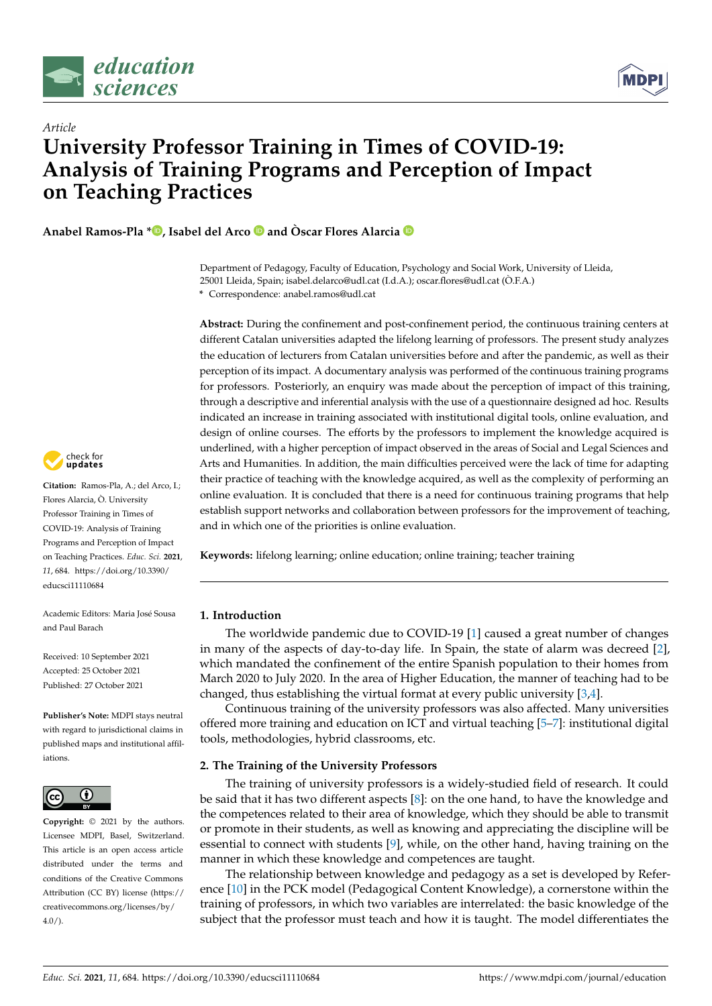

*Article*



# **University Professor Training in Times of COVID-19: Analysis of Training Programs and Perception of Impact on Teaching Practices**

**Anabel Ramos-Pla \* [,](https://orcid.org/0000-0001-5437-150X) Isabel del Arco and Òscar Flores Alarcia**

Department of Pedagogy, Faculty of Education, Psychology and Social Work, University of Lleida, 25001 Lleida, Spain; isabel.delarco@udl.cat (I.d.A.); oscar.flores@udl.cat (Ò.F.A.)

**\*** Correspondence: anabel.ramos@udl.cat

**Abstract:** During the confinement and post-confinement period, the continuous training centers at different Catalan universities adapted the lifelong learning of professors. The present study analyzes the education of lecturers from Catalan universities before and after the pandemic, as well as their perception of its impact. A documentary analysis was performed of the continuous training programs for professors. Posteriorly, an enquiry was made about the perception of impact of this training, through a descriptive and inferential analysis with the use of a questionnaire designed ad hoc. Results indicated an increase in training associated with institutional digital tools, online evaluation, and design of online courses. The efforts by the professors to implement the knowledge acquired is underlined, with a higher perception of impact observed in the areas of Social and Legal Sciences and Arts and Humanities. In addition, the main difficulties perceived were the lack of time for adapting their practice of teaching with the knowledge acquired, as well as the complexity of performing an online evaluation. It is concluded that there is a need for continuous training programs that help establish support networks and collaboration between professors for the improvement of teaching, and in which one of the priorities is online evaluation.

**Keywords:** lifelong learning; online education; online training; teacher training

# **1. Introduction**

The worldwide pandemic due to COVID-19 [\[1\]](#page-9-0) caused a great number of changes in many of the aspects of day-to-day life. In Spain, the state of alarm was decreed [\[2\]](#page-9-1), which mandated the confinement of the entire Spanish population to their homes from March 2020 to July 2020. In the area of Higher Education, the manner of teaching had to be changed, thus establishing the virtual format at every public university [\[3,](#page-9-2)[4\]](#page-9-3).

Continuous training of the university professors was also affected. Many universities offered more training and education on ICT and virtual teaching [\[5](#page-9-4)[–7\]](#page-9-5): institutional digital tools, methodologies, hybrid classrooms, etc.

# **2. The Training of the University Professors**

The training of university professors is a widely-studied field of research. It could be said that it has two different aspects [\[8\]](#page-10-0): on the one hand, to have the knowledge and the competences related to their area of knowledge, which they should be able to transmit or promote in their students, as well as knowing and appreciating the discipline will be essential to connect with students  $[9]$ , while, on the other hand, having training on the manner in which these knowledge and competences are taught.

The relationship between knowledge and pedagogy as a set is developed by Reference [\[10\]](#page-10-2) in the PCK model (Pedagogical Content Knowledge), a cornerstone within the training of professors, in which two variables are interrelated: the basic knowledge of the subject that the professor must teach and how it is taught. The model differentiates the



**Citation:** Ramos-Pla, A.; del Arco, I.; Flores Alarcia, Ò. University Professor Training in Times of COVID-19: Analysis of Training Programs and Perception of Impact on Teaching Practices. *Educ. Sci.* **2021**, *11*, 684. [https://doi.org/10.3390/](https://doi.org/10.3390/educsci11110684) [educsci11110684](https://doi.org/10.3390/educsci11110684)

Academic Editors: Maria José Sousa and Paul Barach

Received: 10 September 2021 Accepted: 25 October 2021 Published: 27 October 2021

**Publisher's Note:** MDPI stays neutral with regard to jurisdictional claims in published maps and institutional affiliations.



**Copyright:** © 2021 by the authors. Licensee MDPI, Basel, Switzerland. This article is an open access article distributed under the terms and conditions of the Creative Commons Attribution (CC BY) license (https:/[/](https://creativecommons.org/licenses/by/4.0/) [creativecommons.org/licenses/by/](https://creativecommons.org/licenses/by/4.0/)  $4.0/$ ).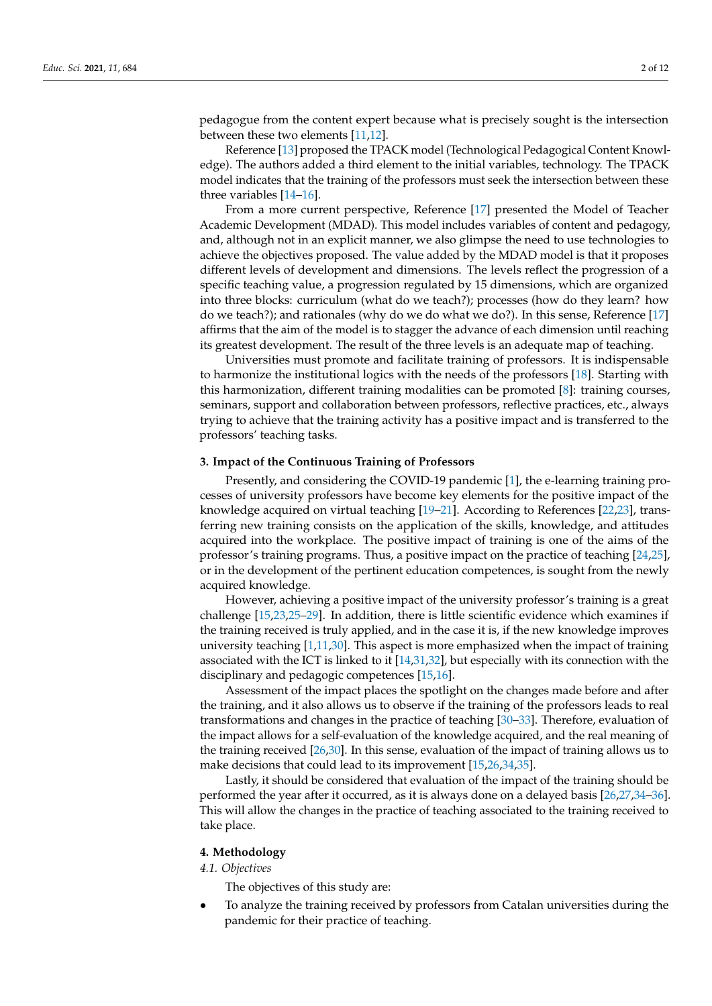pedagogue from the content expert because what is precisely sought is the intersection between these two elements [\[11](#page-10-3)[,12\]](#page-10-4).

Reference [\[13\]](#page-10-5) proposed the TPACK model (Technological Pedagogical Content Knowledge). The authors added a third element to the initial variables, technology. The TPACK model indicates that the training of the professors must seek the intersection between these three variables [\[14–](#page-10-6)[16\]](#page-10-7).

From a more current perspective, Reference [\[17\]](#page-10-8) presented the Model of Teacher Academic Development (MDAD). This model includes variables of content and pedagogy, and, although not in an explicit manner, we also glimpse the need to use technologies to achieve the objectives proposed. The value added by the MDAD model is that it proposes different levels of development and dimensions. The levels reflect the progression of a specific teaching value, a progression regulated by 15 dimensions, which are organized into three blocks: curriculum (what do we teach?); processes (how do they learn? how do we teach?); and rationales (why do we do what we do?). In this sense, Reference [\[17\]](#page-10-8) affirms that the aim of the model is to stagger the advance of each dimension until reaching its greatest development. The result of the three levels is an adequate map of teaching.

Universities must promote and facilitate training of professors. It is indispensable to harmonize the institutional logics with the needs of the professors [\[18\]](#page-10-9). Starting with this harmonization, different training modalities can be promoted [\[8\]](#page-10-0): training courses, seminars, support and collaboration between professors, reflective practices, etc., always trying to achieve that the training activity has a positive impact and is transferred to the professors' teaching tasks.

## **3. Impact of the Continuous Training of Professors**

Presently, and considering the COVID-19 pandemic [\[1\]](#page-9-0), the e-learning training processes of university professors have become key elements for the positive impact of the knowledge acquired on virtual teaching [\[19–](#page-10-10)[21\]](#page-10-11). According to References [\[22](#page-10-12)[,23\]](#page-10-13), transferring new training consists on the application of the skills, knowledge, and attitudes acquired into the workplace. The positive impact of training is one of the aims of the professor's training programs. Thus, a positive impact on the practice of teaching [\[24,](#page-10-14)[25\]](#page-10-15), or in the development of the pertinent education competences, is sought from the newly acquired knowledge.

However, achieving a positive impact of the university professor's training is a great challenge [\[15](#page-10-16)[,23](#page-10-13)[,25](#page-10-15)[–29\]](#page-10-17). In addition, there is little scientific evidence which examines if the training received is truly applied, and in the case it is, if the new knowledge improves university teaching [\[1](#page-9-0)[,11](#page-10-3)[,30\]](#page-10-18). This aspect is more emphasized when the impact of training associated with the ICT is linked to it [\[14,](#page-10-6)[31](#page-10-19)[,32\]](#page-10-20), but especially with its connection with the disciplinary and pedagogic competences [\[15](#page-10-16)[,16\]](#page-10-7).

Assessment of the impact places the spotlight on the changes made before and after the training, and it also allows us to observe if the training of the professors leads to real transformations and changes in the practice of teaching [\[30–](#page-10-18)[33\]](#page-10-21). Therefore, evaluation of the impact allows for a self-evaluation of the knowledge acquired, and the real meaning of the training received [\[26](#page-10-22)[,30\]](#page-10-18). In this sense, evaluation of the impact of training allows us to make decisions that could lead to its improvement [\[15,](#page-10-16)[26,](#page-10-22)[34,](#page-10-23)[35\]](#page-10-24).

Lastly, it should be considered that evaluation of the impact of the training should be performed the year after it occurred, as it is always done on a delayed basis [\[26](#page-10-22)[,27](#page-10-25)[,34](#page-10-23)[–36\]](#page-10-26). This will allow the changes in the practice of teaching associated to the training received to take place.

#### **4. Methodology**

*4.1. Objectives*

The objectives of this study are:

• To analyze the training received by professors from Catalan universities during the pandemic for their practice of teaching.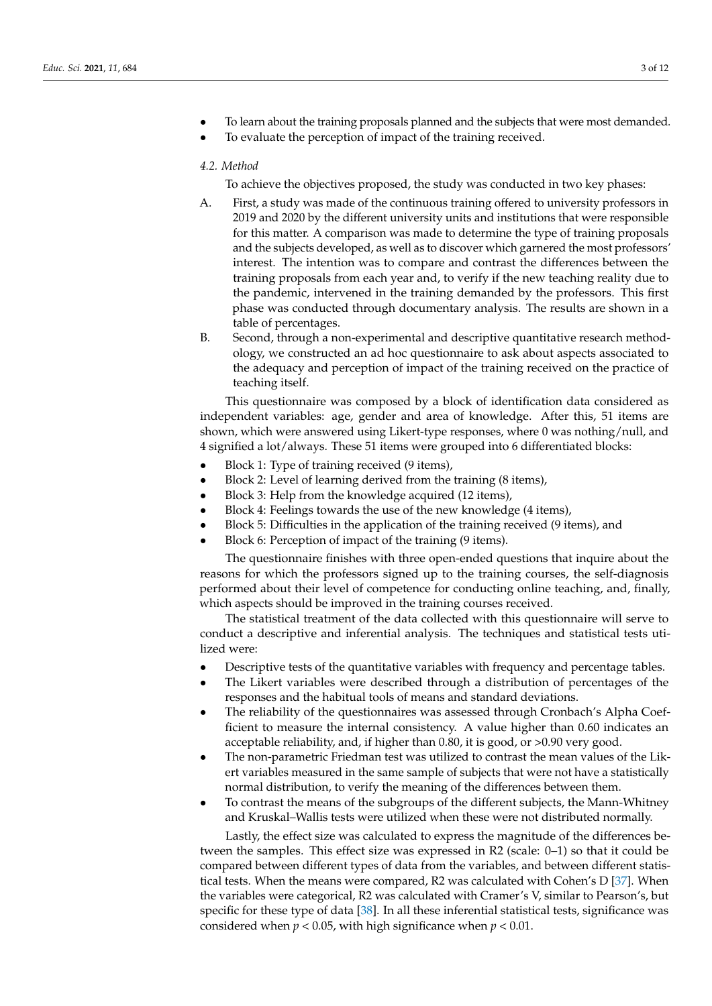- To learn about the training proposals planned and the subjects that were most demanded.
	- To evaluate the perception of impact of the training received.

# *4.2. Method*

- To achieve the objectives proposed, the study was conducted in two key phases:
- A. First, a study was made of the continuous training offered to university professors in 2019 and 2020 by the different university units and institutions that were responsible for this matter. A comparison was made to determine the type of training proposals and the subjects developed, as well as to discover which garnered the most professors' interest. The intention was to compare and contrast the differences between the training proposals from each year and, to verify if the new teaching reality due to the pandemic, intervened in the training demanded by the professors. This first phase was conducted through documentary analysis. The results are shown in a table of percentages.
- B. Second, through a non-experimental and descriptive quantitative research methodology, we constructed an ad hoc questionnaire to ask about aspects associated to the adequacy and perception of impact of the training received on the practice of teaching itself.

This questionnaire was composed by a block of identification data considered as independent variables: age, gender and area of knowledge. After this, 51 items are shown, which were answered using Likert-type responses, where 0 was nothing/null, and 4 signified a lot/always. These 51 items were grouped into 6 differentiated blocks:

- Block 1: Type of training received (9 items),
- Block 2: Level of learning derived from the training (8 items),
- Block 3: Help from the knowledge acquired (12 items),
- Block 4: Feelings towards the use of the new knowledge (4 items),
- Block 5: Difficulties in the application of the training received (9 items), and
- Block 6: Perception of impact of the training (9 items).

The questionnaire finishes with three open-ended questions that inquire about the reasons for which the professors signed up to the training courses, the self-diagnosis performed about their level of competence for conducting online teaching, and, finally, which aspects should be improved in the training courses received.

The statistical treatment of the data collected with this questionnaire will serve to conduct a descriptive and inferential analysis. The techniques and statistical tests utilized were:

- Descriptive tests of the quantitative variables with frequency and percentage tables.
- The Likert variables were described through a distribution of percentages of the responses and the habitual tools of means and standard deviations.
- The reliability of the questionnaires was assessed through Cronbach's Alpha Coefficient to measure the internal consistency. A value higher than 0.60 indicates an acceptable reliability, and, if higher than 0.80, it is good, or >0.90 very good.
- The non-parametric Friedman test was utilized to contrast the mean values of the Likert variables measured in the same sample of subjects that were not have a statistically normal distribution, to verify the meaning of the differences between them.
- To contrast the means of the subgroups of the different subjects, the Mann-Whitney and Kruskal–Wallis tests were utilized when these were not distributed normally.

Lastly, the effect size was calculated to express the magnitude of the differences between the samples. This effect size was expressed in R2 (scale: 0–1) so that it could be compared between different types of data from the variables, and between different statistical tests. When the means were compared, R2 was calculated with Cohen's D [\[37\]](#page-11-0). When the variables were categorical, R2 was calculated with Cramer's V, similar to Pearson's, but specific for these type of data [\[38\]](#page-11-1). In all these inferential statistical tests, significance was considered when  $p < 0.05$ , with high significance when  $p < 0.01$ .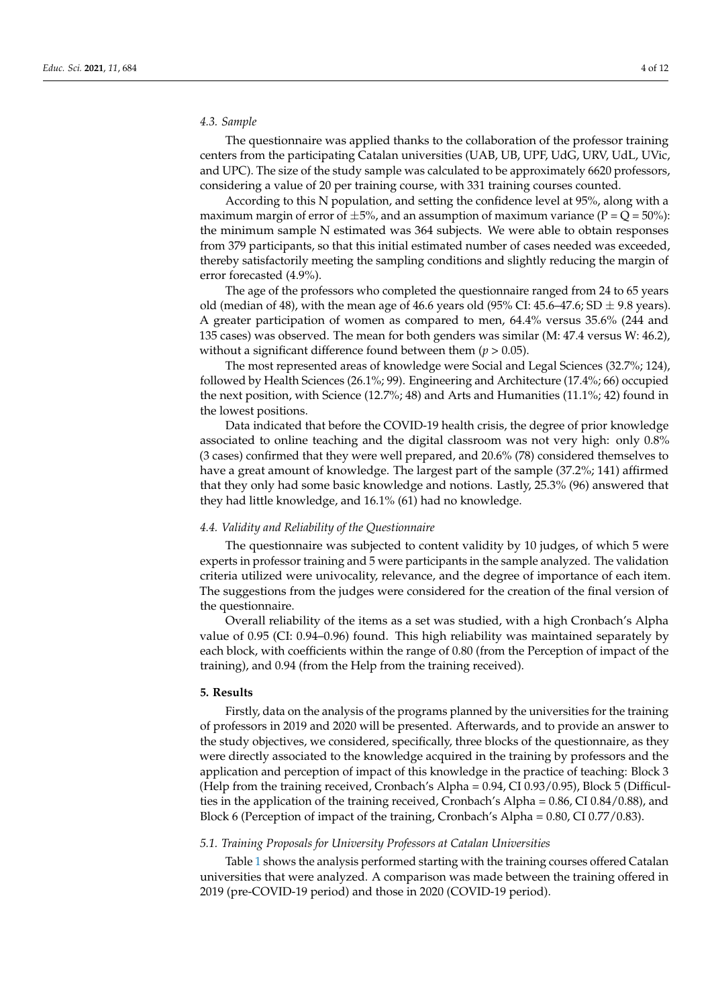The questionnaire was applied thanks to the collaboration of the professor training centers from the participating Catalan universities (UAB, UB, UPF, UdG, URV, UdL, UVic, and UPC). The size of the study sample was calculated to be approximately 6620 professors, considering a value of 20 per training course, with 331 training courses counted.

According to this N population, and setting the confidence level at 95%, along with a maximum margin of error of  $\pm 5$ %, and an assumption of maximum variance (P = Q = 50%): the minimum sample N estimated was 364 subjects. We were able to obtain responses from 379 participants, so that this initial estimated number of cases needed was exceeded, thereby satisfactorily meeting the sampling conditions and slightly reducing the margin of error forecasted (4.9%).

The age of the professors who completed the questionnaire ranged from 24 to 65 years old (median of 48), with the mean age of 46.6 years old (95% CI: 45.6–47.6; SD  $\pm$  9.8 years). A greater participation of women as compared to men, 64.4% versus 35.6% (244 and 135 cases) was observed. The mean for both genders was similar (M: 47.4 versus W: 46.2), without a significant difference found between them (*p* > 0.05).

The most represented areas of knowledge were Social and Legal Sciences (32.7%; 124), followed by Health Sciences (26.1%; 99). Engineering and Architecture (17.4%; 66) occupied the next position, with Science (12.7%; 48) and Arts and Humanities (11.1%; 42) found in the lowest positions.

Data indicated that before the COVID-19 health crisis, the degree of prior knowledge associated to online teaching and the digital classroom was not very high: only 0.8% (3 cases) confirmed that they were well prepared, and 20.6% (78) considered themselves to have a great amount of knowledge. The largest part of the sample (37.2%; 141) affirmed that they only had some basic knowledge and notions. Lastly, 25.3% (96) answered that they had little knowledge, and 16.1% (61) had no knowledge.

## *4.4. Validity and Reliability of the Questionnaire*

The questionnaire was subjected to content validity by 10 judges, of which 5 were experts in professor training and 5 were participants in the sample analyzed. The validation criteria utilized were univocality, relevance, and the degree of importance of each item. The suggestions from the judges were considered for the creation of the final version of the questionnaire.

Overall reliability of the items as a set was studied, with a high Cronbach's Alpha value of 0.95 (CI: 0.94–0.96) found. This high reliability was maintained separately by each block, with coefficients within the range of 0.80 (from the Perception of impact of the training), and 0.94 (from the Help from the training received).

#### **5. Results**

Firstly, data on the analysis of the programs planned by the universities for the training of professors in 2019 and 2020 will be presented. Afterwards, and to provide an answer to the study objectives, we considered, specifically, three blocks of the questionnaire, as they were directly associated to the knowledge acquired in the training by professors and the application and perception of impact of this knowledge in the practice of teaching: Block 3 (Help from the training received, Cronbach's Alpha = 0.94, CI 0.93/0.95), Block 5 (Difficulties in the application of the training received, Cronbach's Alpha = 0.86, CI 0.84/0.88), and Block 6 (Perception of impact of the training, Cronbach's Alpha = 0.80, CI 0.77/0.83).

#### *5.1. Training Proposals for University Professors at Catalan Universities*

Table [1](#page-4-0) shows the analysis performed starting with the training courses offered Catalan universities that were analyzed. A comparison was made between the training offered in 2019 (pre-COVID-19 period) and those in 2020 (COVID-19 period).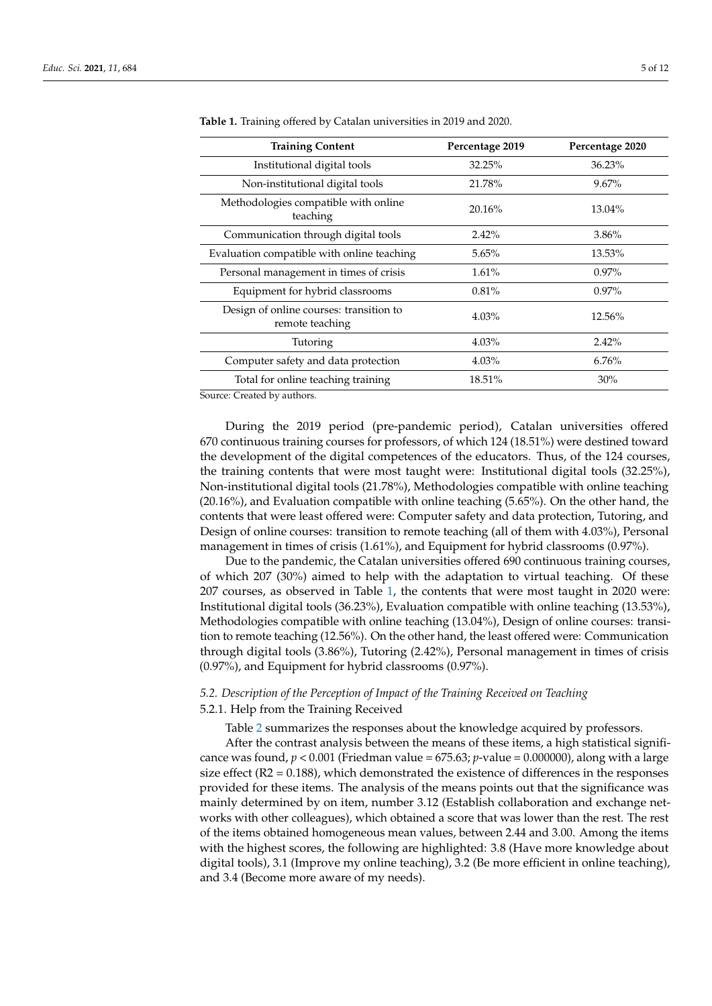| <b>Training Content</b>                                    | Percentage 2019 | Percentage 2020 |
|------------------------------------------------------------|-----------------|-----------------|
| Institutional digital tools                                | 32.25%          | 36.23%          |
| Non-institutional digital tools                            | 21.78%          | 9.67%           |
| Methodologies compatible with online<br>teaching           | 20.16%          | 13.04%          |
| Communication through digital tools                        | 2.42%           | 3.86%           |
| Evaluation compatible with online teaching                 | 5.65%           | 13.53%          |
| Personal management in times of crisis                     | 1.61%           | 0.97%           |
| Equipment for hybrid classrooms                            | 0.81%           | $0.97\%$        |
| Design of online courses: transition to<br>remote teaching | $4.03\%$        | 12.56%          |
| Tutoring                                                   | $4.03\%$        | 2.42%           |
| Computer safety and data protection                        | $4.03\%$        | 6.76%           |
| Total for online teaching training                         | 18.51%          | 30%             |

<span id="page-4-0"></span>**Table 1.** Training offered by Catalan universities in 2019 and 2020.

Source: Created by authors.

During the 2019 period (pre-pandemic period), Catalan universities offered 670 continuous training courses for professors, of which 124 (18.51%) were destined toward the development of the digital competences of the educators. Thus, of the 124 courses, the training contents that were most taught were: Institutional digital tools (32.25%), Non-institutional digital tools (21.78%), Methodologies compatible with online teaching (20.16%), and Evaluation compatible with online teaching (5.65%). On the other hand, the contents that were least offered were: Computer safety and data protection, Tutoring, and Design of online courses: transition to remote teaching (all of them with 4.03%), Personal management in times of crisis (1.61%), and Equipment for hybrid classrooms (0.97%).

Due to the pandemic, the Catalan universities offered 690 continuous training courses, of which 207 (30%) aimed to help with the adaptation to virtual teaching. Of these 207 courses, as observed in Table [1,](#page-4-0) the contents that were most taught in 2020 were: Institutional digital tools (36.23%), Evaluation compatible with online teaching (13.53%), Methodologies compatible with online teaching (13.04%), Design of online courses: transition to remote teaching (12.56%). On the other hand, the least offered were: Communication through digital tools (3.86%), Tutoring (2.42%), Personal management in times of crisis (0.97%), and Equipment for hybrid classrooms (0.97%).

# *5.2. Description of the Perception of Impact of the Training Received on Teaching*

#### 5.2.1. Help from the Training Received

Table [2](#page-5-0) summarizes the responses about the knowledge acquired by professors.

After the contrast analysis between the means of these items, a high statistical significance was found,  $p < 0.001$  (Friedman value =  $675.63$ ;  $p$ -value = 0.000000), along with a large size effect ( $R2 = 0.188$ ), which demonstrated the existence of differences in the responses provided for these items. The analysis of the means points out that the significance was mainly determined by on item, number 3.12 (Establish collaboration and exchange networks with other colleagues), which obtained a score that was lower than the rest. The rest of the items obtained homogeneous mean values, between 2.44 and 3.00. Among the items with the highest scores, the following are highlighted: 3.8 (Have more knowledge about digital tools), 3.1 (Improve my online teaching), 3.2 (Be more efficient in online teaching), and 3.4 (Become more aware of my needs).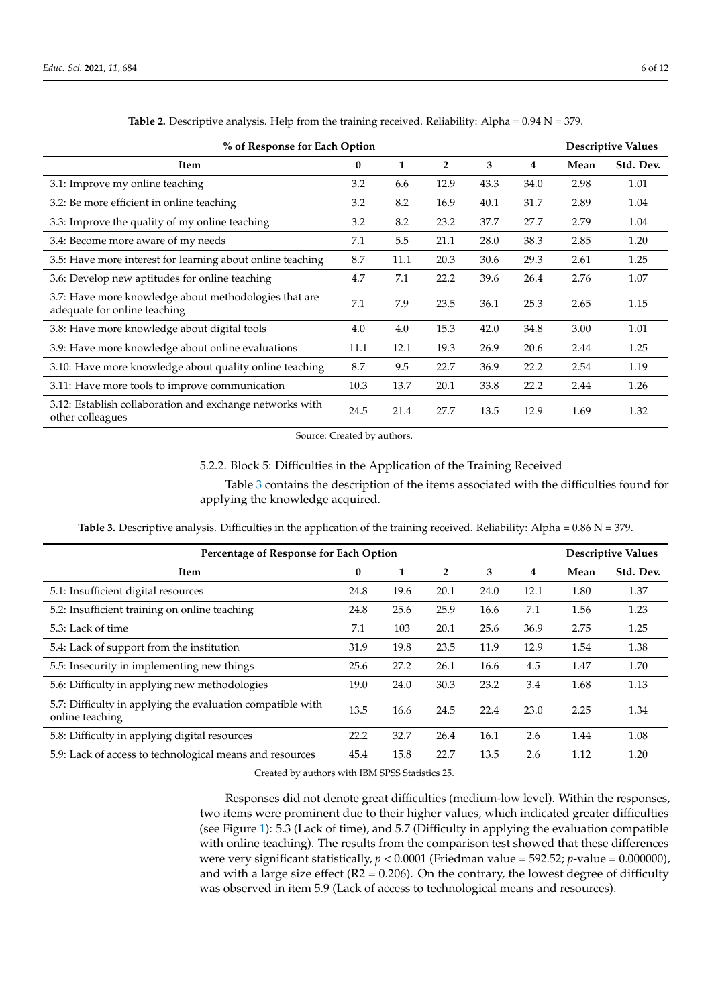<span id="page-5-0"></span>

| % of Response for Each Option                                                         |          |      |                | <b>Descriptive Values</b> |      |      |           |
|---------------------------------------------------------------------------------------|----------|------|----------------|---------------------------|------|------|-----------|
| Item                                                                                  | $\bf{0}$ | 1    | $\overline{2}$ | 3                         | 4    | Mean | Std. Dev. |
| 3.1: Improve my online teaching                                                       | 3.2      | 6.6  | 12.9           | 43.3                      | 34.0 | 2.98 | 1.01      |
| 3.2: Be more efficient in online teaching                                             | 3.2      | 8.2  | 16.9           | 40.1                      | 31.7 | 2.89 | 1.04      |
| 3.3: Improve the quality of my online teaching                                        | 3.2      | 8.2  | 23.2           | 37.7                      | 27.7 | 2.79 | 1.04      |
| 3.4: Become more aware of my needs                                                    | 7.1      | 5.5  | 21.1           | 28.0                      | 38.3 | 2.85 | 1.20      |
| 3.5: Have more interest for learning about online teaching                            | 8.7      | 11.1 | 20.3           | 30.6                      | 29.3 | 2.61 | 1.25      |
| 3.6: Develop new aptitudes for online teaching                                        | 4.7      | 7.1  | 22.2           | 39.6                      | 26.4 | 2.76 | 1.07      |
| 3.7: Have more knowledge about methodologies that are<br>adequate for online teaching | 7.1      | 7.9  | 23.5           | 36.1                      | 25.3 | 2.65 | 1.15      |
| 3.8: Have more knowledge about digital tools                                          | 4.0      | 4.0  | 15.3           | 42.0                      | 34.8 | 3.00 | 1.01      |
| 3.9: Have more knowledge about online evaluations                                     | 11.1     | 12.1 | 19.3           | 26.9                      | 20.6 | 2.44 | 1.25      |
| 3.10: Have more knowledge about quality online teaching                               | 8.7      | 9.5  | 22.7           | 36.9                      | 22.2 | 2.54 | 1.19      |
| 3.11: Have more tools to improve communication                                        | 10.3     | 13.7 | 20.1           | 33.8                      | 22.2 | 2.44 | 1.26      |
| 3.12: Establish collaboration and exchange networks with<br>other colleagues          | 24.5     | 21.4 | 27.7           | 13.5                      | 12.9 | 1.69 | 1.32      |

Table 2. Descriptive analysis. Help from the training received. Reliability: Alpha = 0.94 N = 379.

Source: Created by authors.

# 5.2.2. Block 5: Difficulties in the Application of the Training Received

Table [3](#page-5-1) contains the description of the items associated with the difficulties found for applying the knowledge acquired.

Table 3. Descriptive analysis. Difficulties in the application of the training received. Reliability: Alpha = 0.86 N = 379.

<span id="page-5-1"></span>

| Percentage of Response for Each Option                                        |          |      |                |      | <b>Descriptive Values</b> |      |           |
|-------------------------------------------------------------------------------|----------|------|----------------|------|---------------------------|------|-----------|
| Item                                                                          | $\bf{0}$ | 1    | $\overline{2}$ | 3    | 4                         | Mean | Std. Dev. |
| 5.1: Insufficient digital resources                                           | 24.8     | 19.6 | 20.1           | 24.0 | 12.1                      | 1.80 | 1.37      |
| 5.2: Insufficient training on online teaching                                 | 24.8     | 25.6 | 25.9           | 16.6 | 7.1                       | 1.56 | 1.23      |
| 5.3: Lack of time                                                             | 7.1      | 103  | 20.1           | 25.6 | 36.9                      | 2.75 | 1.25      |
| 5.4: Lack of support from the institution                                     | 31.9     | 19.8 | 23.5           | 11.9 | 12.9                      | 1.54 | 1.38      |
| 5.5: Insecurity in implementing new things                                    | 25.6     | 27.2 | 26.1           | 16.6 | 4.5                       | 1.47 | 1.70      |
| 5.6: Difficulty in applying new methodologies                                 | 19.0     | 24.0 | 30.3           | 23.2 | 3.4                       | 1.68 | 1.13      |
| 5.7: Difficulty in applying the evaluation compatible with<br>online teaching | 13.5     | 16.6 | 24.5           | 22.4 | 23.0                      | 2.25 | 1.34      |
| 5.8: Difficulty in applying digital resources                                 | 22.2     | 32.7 | 26.4           | 16.1 | 2.6                       | 1.44 | 1.08      |
| 5.9: Lack of access to technological means and resources                      | 45.4     | 15.8 | 22.7           | 13.5 | 2.6                       | 1.12 | 1.20      |

Created by authors with IBM SPSS Statistics 25.

Responses did not denote great difficulties (medium-low level). Within the responses, two items were prominent due to their higher values, which indicated greater difficulties (see Figure [1\)](#page-6-0): 5.3 (Lack of time), and 5.7 (Difficulty in applying the evaluation compatible with online teaching). The results from the comparison test showed that these differences were very significant statistically, *p* < 0.0001 (Friedman value = 592.52; *p*-value = 0.000000), and with a large size effect ( $R2 = 0.206$ ). On the contrary, the lowest degree of difficulty was observed in item 5.9 (Lack of access to technological means and resources).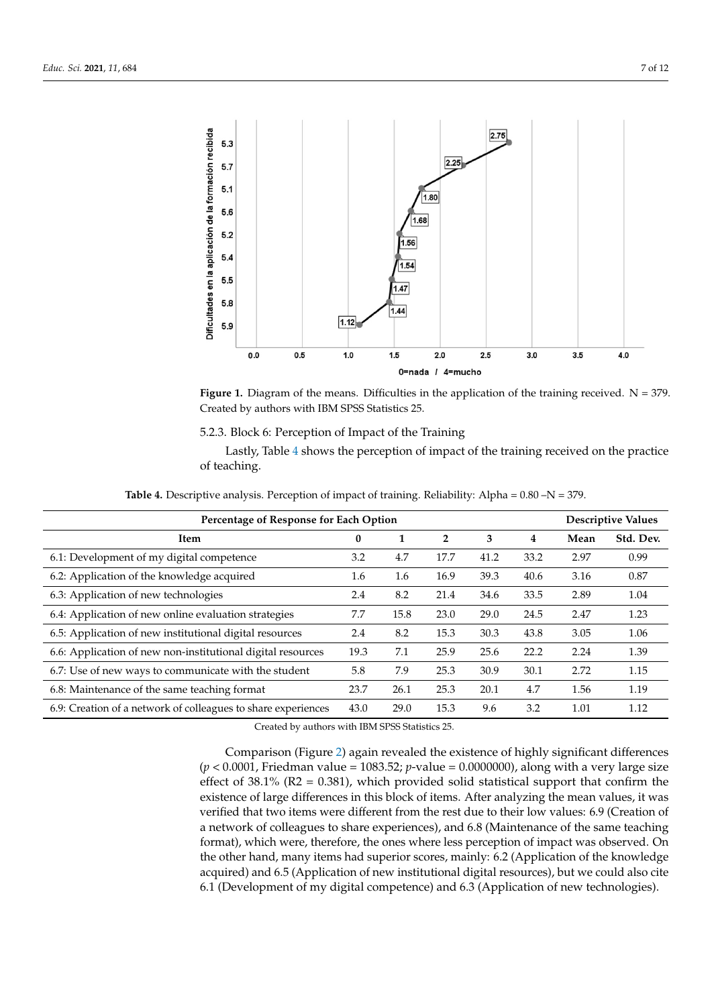<span id="page-6-0"></span>

= 0.000000), and with a large size effect (R2 = 0.206). On the contrary, the lowest degree of

**Figure 1.** Diagram of the means. Difficulties in the application of the training received. N = 379. Created by authors with IBM SPSS Statistics 25. Created by authors with IBM SPSS Statistics 25.

# 5.2.3. Block 6: Perception of Impact of the Training 5.2.3. Block 6: Perception of Impact of the Training

Lastly, Table [4 s](#page-6-1)hows the perception of impact of the training received on the practice of teaching. of teaching.

**Table 4.** Descriptive analysis. Perception of impact of training. Reliability: Alpha = 0.80 –N = 379. **Table 4.** Descriptive analysis. Perception of impact of training. Reliability: Alpha = 0.80 –N = 379.

<span id="page-6-1"></span>

| Percentage of Response for Each Option                        |          |      |                |      | <b>Descriptive Values</b> |      |           |
|---------------------------------------------------------------|----------|------|----------------|------|---------------------------|------|-----------|
| Item                                                          | $\bf{0}$ | 1    | $\overline{2}$ | 3    | 4                         | Mean | Std. Dev. |
| 6.1: Development of my digital competence                     | 3.2      | 4.7  | 17.7           | 41.2 | 33.2                      | 2.97 | 0.99      |
| 6.2: Application of the knowledge acquired                    | 1.6      | 1.6  | 16.9           | 39.3 | 40.6                      | 3.16 | 0.87      |
| 6.3: Application of new technologies                          | 2.4      | 8.2  | 21.4           | 34.6 | 33.5                      | 2.89 | 1.04      |
| 6.4: Application of new online evaluation strategies          | 7.7      | 15.8 | 23.0           | 29.0 | 24.5                      | 2.47 | 1.23      |
| 6.5: Application of new institutional digital resources       | 2.4      | 8.2  | 15.3           | 30.3 | 43.8                      | 3.05 | 1.06      |
| 6.6: Application of new non-institutional digital resources   | 19.3     | 7.1  | 25.9           | 25.6 | 22.2                      | 2.24 | 1.39      |
| 6.7: Use of new ways to communicate with the student          | 5.8      | 7.9  | 25.3           | 30.9 | 30.1                      | 2.72 | 1.15      |
| 6.8: Maintenance of the same teaching format                  | 23.7     | 26.1 | 25.3           | 20.1 | 4.7                       | 1.56 | 1.19      |
| 6.9: Creation of a network of colleagues to share experiences | 43.0     | 29.0 | 15.3           | 9.6  | 3.2                       | 1.01 | 1.12      |

Created by authors with IBM SPSS Statistics 25.

Comparison (Figure [2\)](#page-7-0) again revealed the existence of highly significant differences (*p* < 0.0001, Friedman value = 1083.52; *p*-value = 0.0000000), along with a very large size effect of  $38.1\%$  (R2 = 0.381), which provided solid statistical support that confirm the existence of large differences in this block of items. After analyzing the mean values, it was verified that two items were different from the rest due to their low values: 6.9 (Creation of a network of colleagues to share experiences), and 6.8 (Maintenance of the same teaching format), which were, therefore, the ones where less perception of impact was observed. On the other hand, many items had superior scores, mainly: 6.2 (Application of the knowledge acquired) and 6.5 (Application of new institutional digital resources), but we could also cite 6.1 (Development of my digital competence) and 6.3 (Application of new technologies).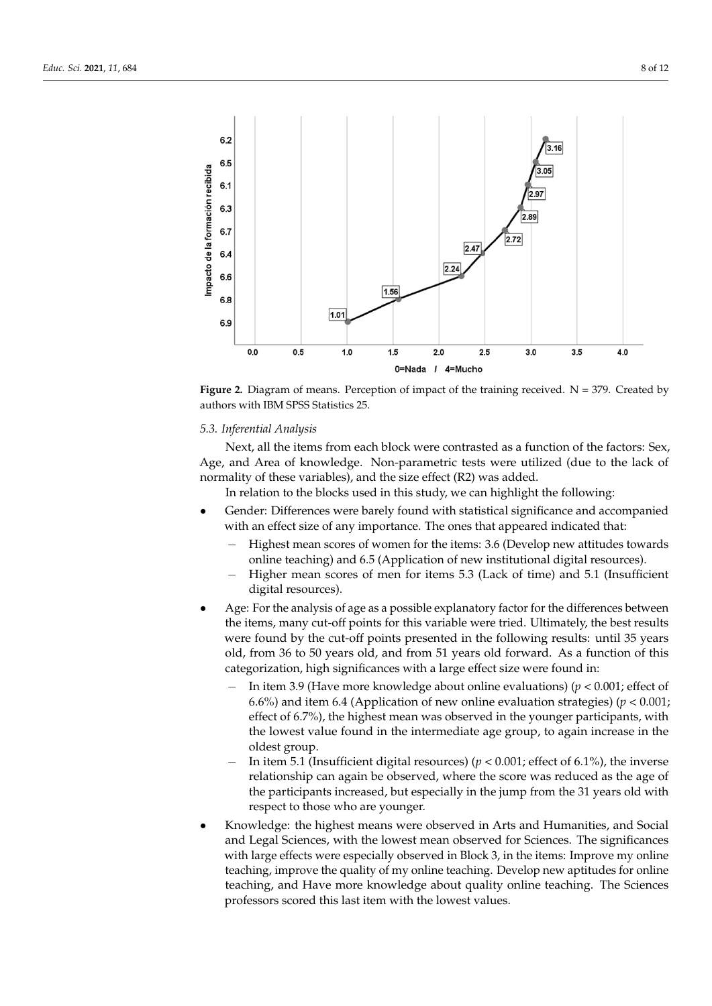<span id="page-7-0"></span>

**Figure 2.** Diagram of means. Perception of impact of the training received. N = 379. Created by **Figure 2.** Diagram of means. Perception of impact of the training received. N = 379. Created by authors with IBM SPSS Statistics 25. authors with IBM SPSS Statistics 25.

# *5.3. Inferential Analysis 5.3. Inferential Analysis*

new technologies).

 $N_{\rm ext}$ , all the items from each block were contrasted as a function of the factors:  $S_{\rm ext}$ Age, and Area of knowledge. Non-parametric tests were utilized (due to the lack of normality of the normality) and the size of  $\alpha$  normality of the second integration of the size of  $\alpha$ molitanty of these variables), and the size effect (R2) was ad Next, all the items from each block were contrasted as a function of the factors: Sex, normality of these variables), and the size effect (R2) was added.

In relation to the blocks used in this study, we can highlight the following: In relation to the blocks used in this study, we can highlight the following:

- $\epsilon_{\rm{tot}}$  and  $\epsilon_{\rm{tot}}$  is the contract with statistical significance and accompanied indicated that with an effect size of any importance. The ones that appeared indicated that: • Gender: Differences were barely found with statistical significance and accompanied
	- − Highest mean scores of women for the items: 3.6 (Develop new attitudes to-online teaching) and 6.5 (Application of new institutional digital resources). − Highest mean scores of women for the items: 3.6 (Develop new attitudes towards
	- − Higher mean scores of men for items 5.3 (Lack of time) and 5.1 (Insufficient digital resources). − Higher mean scores of times of times 5.3 (Lack of time) and 5.3 (Lack of time) and 5.1 (Insufficient dig-1.1 (Insufficient dig-1.1 (Insufficient dig-1.1 (Insufficient dig-1.1 (Insufficient dig-1.1 (Insufficient dig-1.1
	- Age: For the analysis of age as a possible explanatory factor for the differences between the items, many cut-off points for this variable were tried. Ultimately, the best results were found by the cut-off points presented in the following results: until 35 years old, from 36 to 50 years old, and from 51 years old forward. As a function of this categorization, high significances with a large effect size were found in:
		- − In item 3.9 (Have more knowledge about online evaluations) (*p* < 0.001; effect of 6.6%) and item 6.4 (Application of new online evaluation strategies)  $(p < 0.001)$ ; effect of 6.7%), the highest mean was observed in the younger participants, with the lowest value found in the intermediate age group, to again increase in the oldest group.
		- − In item 5.1 (Insufficient digital resources) (*p* < 0.001; effect of 6.1%), the inverse relationship can again be observed, where the score was reduced as the age of the participants increased, but especially in the jump from the 31 years old with respect to those who are younger.
	- Knowledge: the highest means were observed in Arts and Humanities, and Social and Legal Sciences, with the lowest mean observed for Sciences. The significances with large effects were especially observed in Block 3, in the items: Improve my online teaching, improve the quality of my online teaching. Develop new aptitudes for online teaching, and Have more knowledge about quality online teaching. The Sciences professors scored this last item with the lowest values.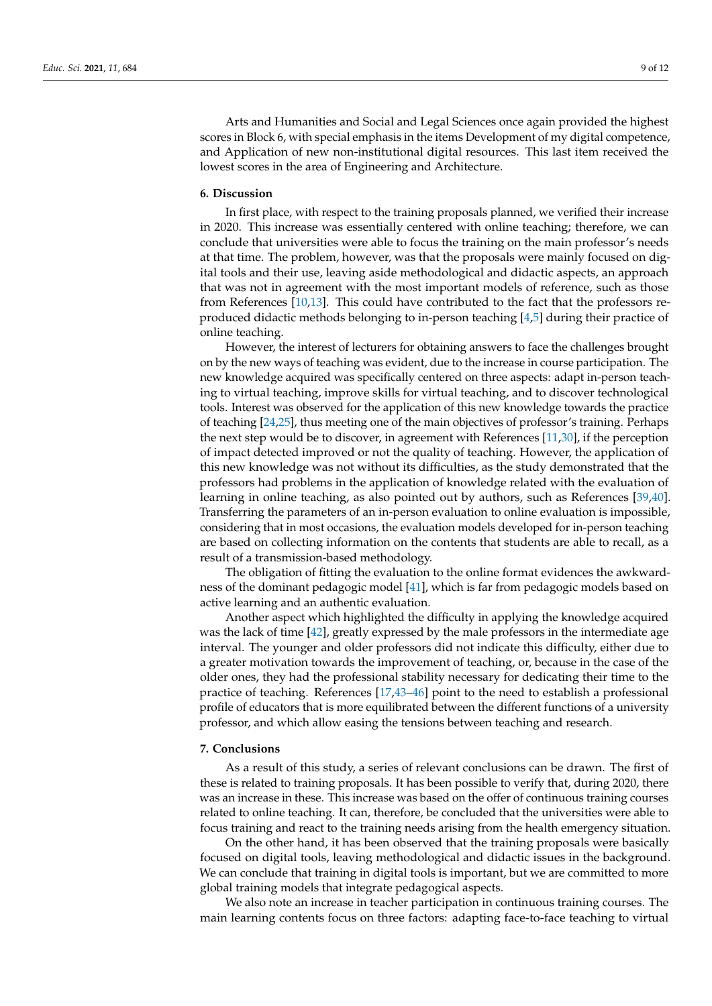Arts and Humanities and Social and Legal Sciences once again provided the highest scores in Block 6, with special emphasis in the items Development of my digital competence, and Application of new non-institutional digital resources. This last item received the lowest scores in the area of Engineering and Architecture.

#### **6. Discussion**

In first place, with respect to the training proposals planned, we verified their increase in 2020. This increase was essentially centered with online teaching; therefore, we can conclude that universities were able to focus the training on the main professor's needs at that time. The problem, however, was that the proposals were mainly focused on digital tools and their use, leaving aside methodological and didactic aspects, an approach that was not in agreement with the most important models of reference, such as those from References [\[10,](#page-10-2)[13\]](#page-10-5). This could have contributed to the fact that the professors reproduced didactic methods belonging to in-person teaching [\[4](#page-9-3)[,5\]](#page-9-4) during their practice of online teaching.

However, the interest of lecturers for obtaining answers to face the challenges brought on by the new ways of teaching was evident, due to the increase in course participation. The new knowledge acquired was specifically centered on three aspects: adapt in-person teaching to virtual teaching, improve skills for virtual teaching, and to discover technological tools. Interest was observed for the application of this new knowledge towards the practice of teaching [\[24](#page-10-14)[,25\]](#page-10-15), thus meeting one of the main objectives of professor's training. Perhaps the next step would be to discover, in agreement with References [\[11](#page-10-3)[,30\]](#page-10-18), if the perception of impact detected improved or not the quality of teaching. However, the application of this new knowledge was not without its difficulties, as the study demonstrated that the professors had problems in the application of knowledge related with the evaluation of learning in online teaching, as also pointed out by authors, such as References [\[39,](#page-11-2)[40\]](#page-11-3). Transferring the parameters of an in-person evaluation to online evaluation is impossible, considering that in most occasions, the evaluation models developed for in-person teaching are based on collecting information on the contents that students are able to recall, as a result of a transmission-based methodology.

The obligation of fitting the evaluation to the online format evidences the awkwardness of the dominant pedagogic model [\[41\]](#page-11-4), which is far from pedagogic models based on active learning and an authentic evaluation.

Another aspect which highlighted the difficulty in applying the knowledge acquired was the lack of time [\[42\]](#page-11-5), greatly expressed by the male professors in the intermediate age interval. The younger and older professors did not indicate this difficulty, either due to a greater motivation towards the improvement of teaching, or, because in the case of the older ones, they had the professional stability necessary for dedicating their time to the practice of teaching. References [\[17](#page-10-8)[,43–](#page-11-6)[46\]](#page-11-7) point to the need to establish a professional profile of educators that is more equilibrated between the different functions of a university professor, and which allow easing the tensions between teaching and research.

### **7. Conclusions**

As a result of this study, a series of relevant conclusions can be drawn. The first of these is related to training proposals. It has been possible to verify that, during 2020, there was an increase in these. This increase was based on the offer of continuous training courses related to online teaching. It can, therefore, be concluded that the universities were able to focus training and react to the training needs arising from the health emergency situation.

On the other hand, it has been observed that the training proposals were basically focused on digital tools, leaving methodological and didactic issues in the background. We can conclude that training in digital tools is important, but we are committed to more global training models that integrate pedagogical aspects.

We also note an increase in teacher participation in continuous training courses. The main learning contents focus on three factors: adapting face-to-face teaching to virtual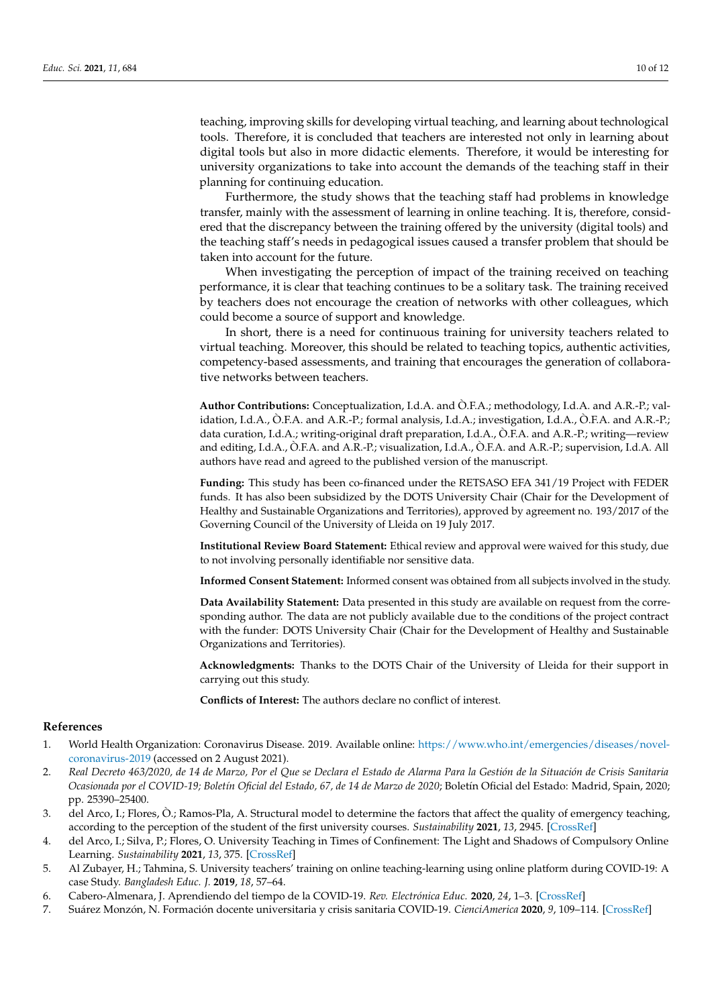teaching, improving skills for developing virtual teaching, and learning about technological tools. Therefore, it is concluded that teachers are interested not only in learning about digital tools but also in more didactic elements. Therefore, it would be interesting for university organizations to take into account the demands of the teaching staff in their planning for continuing education.

Furthermore, the study shows that the teaching staff had problems in knowledge transfer, mainly with the assessment of learning in online teaching. It is, therefore, considered that the discrepancy between the training offered by the university (digital tools) and the teaching staff's needs in pedagogical issues caused a transfer problem that should be taken into account for the future.

When investigating the perception of impact of the training received on teaching performance, it is clear that teaching continues to be a solitary task. The training received by teachers does not encourage the creation of networks with other colleagues, which could become a source of support and knowledge.

In short, there is a need for continuous training for university teachers related to virtual teaching. Moreover, this should be related to teaching topics, authentic activities, competency-based assessments, and training that encourages the generation of collaborative networks between teachers.

**Author Contributions:** Conceptualization, I.d.A. and Ò.F.A.; methodology, I.d.A. and A.R.-P.; validation, I.d.A., Ò.F.A. and A.R.-P.; formal analysis, I.d.A.; investigation, I.d.A., Ò.F.A. and A.R.-P.; data curation, I.d.A.; writing-original draft preparation, I.d.A., Ò.F.A. and A.R.-P.; writing—review and editing, I.d.A., Ò.F.A. and A.R.-P.; visualization, I.d.A., Ò.F.A. and A.R.-P.; supervision, I.d.A. All authors have read and agreed to the published version of the manuscript.

**Funding:** This study has been co-financed under the RETSASO EFA 341/19 Project with FEDER funds. It has also been subsidized by the DOTS University Chair (Chair for the Development of Healthy and Sustainable Organizations and Territories), approved by agreement no. 193/2017 of the Governing Council of the University of Lleida on 19 July 2017.

**Institutional Review Board Statement:** Ethical review and approval were waived for this study, due to not involving personally identifiable nor sensitive data.

**Informed Consent Statement:** Informed consent was obtained from all subjects involved in the study.

**Data Availability Statement:** Data presented in this study are available on request from the corresponding author. The data are not publicly available due to the conditions of the project contract with the funder: DOTS University Chair (Chair for the Development of Healthy and Sustainable Organizations and Territories).

**Acknowledgments:** Thanks to the DOTS Chair of the University of Lleida for their support in carrying out this study.

**Conflicts of Interest:** The authors declare no conflict of interest.

## **References**

- <span id="page-9-0"></span>1. World Health Organization: Coronavirus Disease. 2019. Available online: [https://www.who.int/emergencies/diseases/novel](https://www.who.int/emergencies/diseases/novel-coronavirus-2019)[coronavirus-2019](https://www.who.int/emergencies/diseases/novel-coronavirus-2019) (accessed on 2 August 2021).
- <span id="page-9-1"></span>2. *Real Decreto 463/2020, de 14 de Marzo, Por el Que se Declara el Estado de Alarma Para la Gestión de la Situación de Crisis Sanitaria Ocasionada por el COVID-19; Boletín Oficial del Estado, 67, de 14 de Marzo de 2020*; Boletín Oficial del Estado: Madrid, Spain, 2020; pp. 25390–25400.
- <span id="page-9-2"></span>3. del Arco, I.; Flores, Ò.; Ramos-Pla, A. Structural model to determine the factors that affect the quality of emergency teaching, according to the perception of the student of the first university courses. *Sustainability* **2021**, *13*, 2945. [\[CrossRef\]](http://doi.org/10.3390/su13052945)
- <span id="page-9-3"></span>4. del Arco, I.; Silva, P.; Flores, O. University Teaching in Times of Confinement: The Light and Shadows of Compulsory Online Learning. *Sustainability* **2021**, *13*, 375. [\[CrossRef\]](http://doi.org/10.3390/su13010375)
- <span id="page-9-4"></span>5. Al Zubayer, H.; Tahmina, S. University teachers' training on online teaching-learning using online platform during COVID-19: A case Study. *Bangladesh Educ. J.* **2019**, *18*, 57–64.
- 6. Cabero-Almenara, J. Aprendiendo del tiempo de la COVID-19. *Rev. Electrónica Educ.* **2020**, *24*, 1–3. [\[CrossRef\]](http://doi.org/10.15359/ree.24-S.2)
- <span id="page-9-5"></span>7. Suárez Monzón, N. Formación docente universitaria y crisis sanitaria COVID-19. *CienciAmerica* **2020**, *9*, 109–114. [\[CrossRef\]](http://doi.org/10.33210/ca.v9i2.299)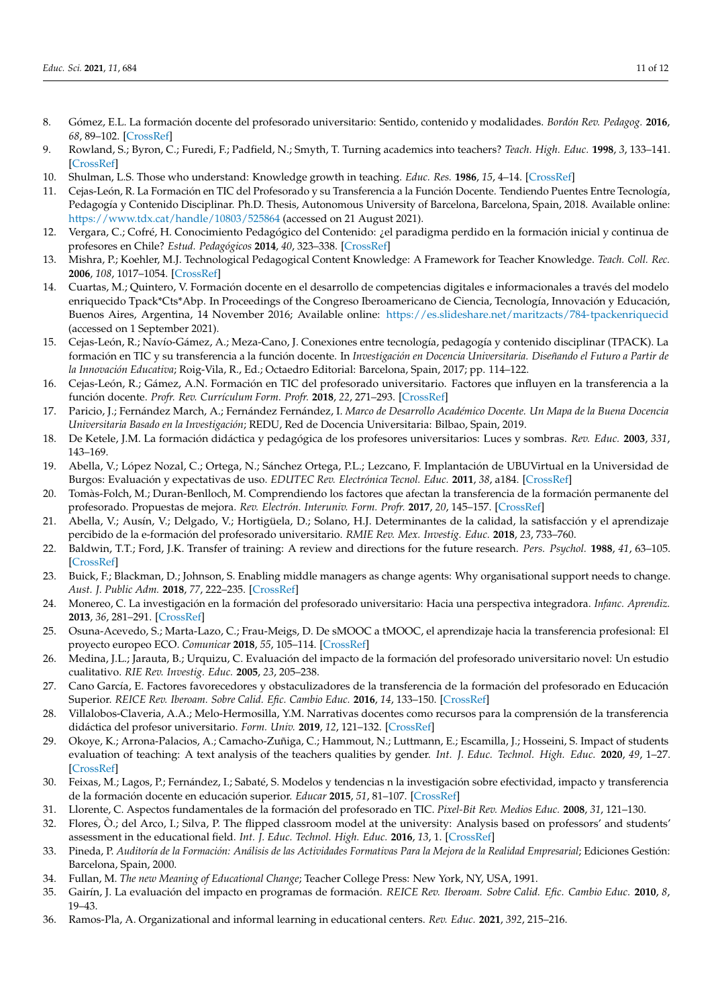- <span id="page-10-0"></span>8. Gómez, E.L. La formación docente del profesorado universitario: Sentido, contenido y modalidades. *Bordón Rev. Pedagog.* **2016**, *68*, 89–102. [\[CrossRef\]](http://doi.org/10.13042/Bordon.2016.38998)
- <span id="page-10-1"></span>9. Rowland, S.; Byron, C.; Furedi, F.; Padfield, N.; Smyth, T. Turning academics into teachers? *Teach. High. Educ.* **1998**, *3*, 133–141. [\[CrossRef\]](http://doi.org/10.1080/1356215980030201)
- <span id="page-10-2"></span>10. Shulman, L.S. Those who understand: Knowledge growth in teaching. *Educ. Res.* **1986**, *15*, 4–14. [\[CrossRef\]](http://doi.org/10.3102/0013189X015002004)
- <span id="page-10-3"></span>11. Cejas-León, R. La Formación en TIC del Profesorado y su Transferencia a la Función Docente. Tendiendo Puentes Entre Tecnología, Pedagogía y Contenido Disciplinar. Ph.D. Thesis, Autonomous University of Barcelona, Barcelona, Spain, 2018. Available online: <https://www.tdx.cat/handle/10803/525864> (accessed on 21 August 2021).
- <span id="page-10-4"></span>12. Vergara, C.; Cofré, H. Conocimiento Pedagógico del Contenido: ¿el paradigma perdido en la formación inicial y continua de profesores en Chile? *Estud. Pedagógicos* **2014**, *40*, 323–338. [\[CrossRef\]](http://doi.org/10.4067/S0718-07052014000200019)
- <span id="page-10-5"></span>13. Mishra, P.; Koehler, M.J. Technological Pedagogical Content Knowledge: A Framework for Teacher Knowledge. *Teach. Coll. Rec.* **2006**, *108*, 1017–1054. [\[CrossRef\]](http://doi.org/10.1111/j.1467-9620.2006.00684.x)
- <span id="page-10-6"></span>14. Cuartas, M.; Quintero, V. Formación docente en el desarrollo de competencias digitales e informacionales a través del modelo enriquecido Tpack\*Cts\*Abp. In Proceedings of the Congreso Iberoamericano de Ciencia, Tecnología, Innovación y Educación, Buenos Aires, Argentina, 14 November 2016; Available online: <https://es.slideshare.net/maritzacts/784-tpackenriquecid> (accessed on 1 September 2021).
- <span id="page-10-16"></span>15. Cejas-León, R.; Navío-Gámez, A.; Meza-Cano, J. Conexiones entre tecnología, pedagogía y contenido disciplinar (TPACK). La formación en TIC y su transferencia a la función docente. In *Investigación en Docencia Universitaria. Diseñando el Futuro a Partir de la Innovación Educativa*; Roig-Vila, R., Ed.; Octaedro Editorial: Barcelona, Spain, 2017; pp. 114–122.
- <span id="page-10-7"></span>16. Cejas-León, R.; Gámez, A.N. Formación en TIC del profesorado universitario. Factores que influyen en la transferencia a la función docente. *Profr. Rev. Currículum Form. Profr.* **2018**, *22*, 271–293. [\[CrossRef\]](http://doi.org/10.30827/profesorado.v22i3.8002)
- <span id="page-10-8"></span>17. Paricio, J.; Fernández March, A.; Fernández Fernández, I. *Marco de Desarrollo Académico Docente. Un Mapa de la Buena Docencia Universitaria Basado en la Investigación*; REDU, Red de Docencia Universitaria: Bilbao, Spain, 2019.
- <span id="page-10-9"></span>18. De Ketele, J.M. La formación didáctica y pedagógica de los profesores universitarios: Luces y sombras. *Rev. Educ.* **2003**, *331*, 143–169.
- <span id="page-10-10"></span>19. Abella, V.; López Nozal, C.; Ortega, N.; Sánchez Ortega, P.L.; Lezcano, F. Implantación de UBUVirtual en la Universidad de Burgos: Evaluación y expectativas de uso. *EDUTEC Rev. Electrónica Tecnol. Educ.* **2011**, *38*, a184. [\[CrossRef\]](http://doi.org/10.21556/edutec.2011.38.385)
- 20. Tomàs-Folch, M.; Duran-Benlloch, M. Comprendiendo los factores que afectan la transferencia de la formación permanente del profesorado. Propuestas de mejora. *Rev. Electrón. Interuniv. Form. Profr.* **2017**, *20*, 145–157. [\[CrossRef\]](http://doi.org/10.6018/reifop/20.1.240591)
- <span id="page-10-11"></span>21. Abella, V.; Ausín, V.; Delgado, V.; Hortigüela, D.; Solano, H.J. Determinantes de la calidad, la satisfacción y el aprendizaje percibido de la e-formación del profesorado universitario. *RMIE Rev. Mex. Investig. Educ.* **2018**, *23*, 733–760.
- <span id="page-10-12"></span>22. Baldwin, T.T.; Ford, J.K. Transfer of training: A review and directions for the future research. *Pers. Psychol.* **1988**, *41*, 63–105. [\[CrossRef\]](http://doi.org/10.1111/j.1744-6570.1988.tb00632.x)
- <span id="page-10-13"></span>23. Buick, F.; Blackman, D.; Johnson, S. Enabling middle managers as change agents: Why organisational support needs to change. *Aust. J. Public Adm.* **2018**, *77*, 222–235. [\[CrossRef\]](http://doi.org/10.1111/1467-8500.12293)
- <span id="page-10-14"></span>24. Monereo, C. La investigación en la formación del profesorado universitario: Hacia una perspectiva integradora. *Infanc. Aprendiz.* **2013**, *36*, 281–291. [\[CrossRef\]](http://doi.org/10.1174/021037013807533052)
- <span id="page-10-15"></span>25. Osuna-Acevedo, S.; Marta-Lazo, C.; Frau-Meigs, D. De sMOOC a tMOOC, el aprendizaje hacia la transferencia profesional: El proyecto europeo ECO. *Comunicar* **2018**, *55*, 105–114. [\[CrossRef\]](http://doi.org/10.3916/C55-2018-10)
- <span id="page-10-22"></span>26. Medina, J.L.; Jarauta, B.; Urquizu, C. Evaluación del impacto de la formación del profesorado universitario novel: Un estudio cualitativo. *RIE Rev. Investig. Educ.* **2005**, *23*, 205–238.
- <span id="page-10-25"></span>27. Cano García, E. Factores favorecedores y obstaculizadores de la transferencia de la formación del profesorado en Educación Superior. *REICE Rev. Iberoam. Sobre Calid. Efic. Cambio Educ.* **2016**, *14*, 133–150. [\[CrossRef\]](http://doi.org/10.15366/reice2016.14.2.008)
- 28. Villalobos-Claveria, A.A.; Melo-Hermosilla, Y.M. Narrativas docentes como recursos para la comprensión de la transferencia didáctica del profesor universitario. *Form. Univ.* **2019**, *12*, 121–132. [\[CrossRef\]](http://doi.org/10.4067/S0718-50062019000100121)
- <span id="page-10-17"></span>29. Okoye, K.; Arrona-Palacios, A.; Camacho-Zuñiga, C.; Hammout, N.; Luttmann, E.; Escamilla, J.; Hosseini, S. Impact of students evaluation of teaching: A text analysis of the teachers qualities by gender. *Int. J. Educ. Technol. High. Educ.* **2020**, *49*, 1–27. [\[CrossRef\]](http://doi.org/10.1186/s41239-020-00224-z)
- <span id="page-10-18"></span>30. Feixas, M.; Lagos, P.; Fernández, I.; Sabaté, S. Modelos y tendencias n la investigación sobre efectividad, impacto y transferencia de la formación docente en educación superior. *Educar* **2015**, *51*, 81–107. [\[CrossRef\]](http://doi.org/10.5565/rev/educar.695)
- <span id="page-10-19"></span>31. Llorente, C. Aspectos fundamentales de la formación del profesorado en TIC. *Pixel-Bit Rev. Medios Educ.* **2008**, *31*, 121–130.
- <span id="page-10-20"></span>32. Flores, Ò.; del Arco, I.; Silva, P. The flipped classroom model at the university: Analysis based on professors' and students' assessment in the educational field. *Int. J. Educ. Technol. High. Educ.* **2016**, *13*, 1. [\[CrossRef\]](http://doi.org/10.1186/s41239-016-0022-1)
- <span id="page-10-21"></span>33. Pineda, P. *Auditoría de la Formación: Análisis de las Actividades Formativas Para la Mejora de la Realidad Empresarial*; Ediciones Gestión: Barcelona, Spain, 2000.
- <span id="page-10-23"></span>34. Fullan, M. *The new Meaning of Educational Change*; Teacher College Press: New York, NY, USA, 1991.
- <span id="page-10-24"></span>35. Gairín, J. La evaluación del impacto en programas de formación. *REICE Rev. Iberoam. Sobre Calid. Efic. Cambio Educ.* **2010**, *8*, 19–43.
- <span id="page-10-26"></span>36. Ramos-Pla, A. Organizational and informal learning in educational centers. *Rev. Educ.* **2021**, *392*, 215–216.